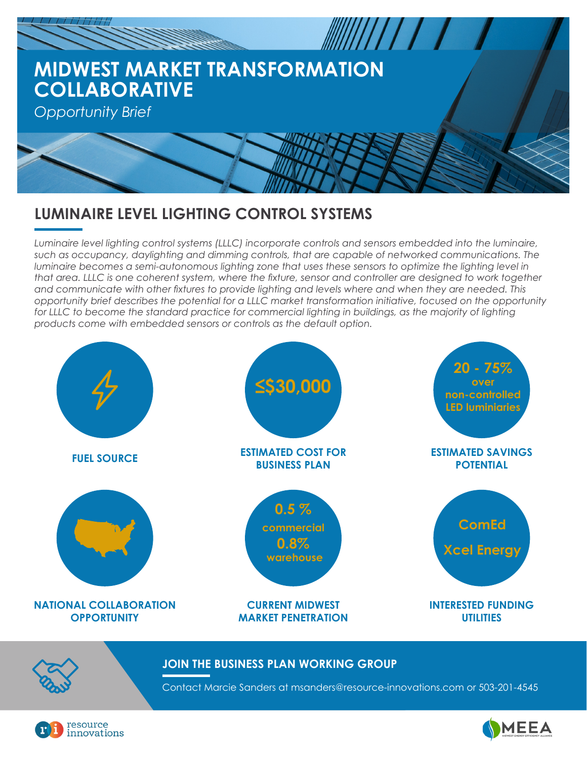

# **LUMINAIRE LEVEL LIGHTING CONTROL SYSTEMS**

*Luminaire level lighting control systems (LLLC) incorporate controls and sensors embedded into the luminaire, such as occupancy, daylighting and dimming controls, that are capable of networked communications. The luminaire becomes a semi-autonomous lighting zone that uses these sensors to optimize the lighting level in that area. LLLC is one coherent system, where the fixture, sensor and controller are designed to work together and communicate with other fixtures to provide lighting and levels where and when they are needed. This opportunity brief describes the potential for a LLLC market transformation initiative, focused on the opportunity*  for LLLC to become the standard practice for commercial lighting in buildings, as the majority of lighting *products come with embedded sensors or controls as the default option.*





#### **JOIN THE BUSINESS PLAN WORKING GROUP**

Contact Marcie Sanders at msanders@resource-innovations.com or 503-201-4545



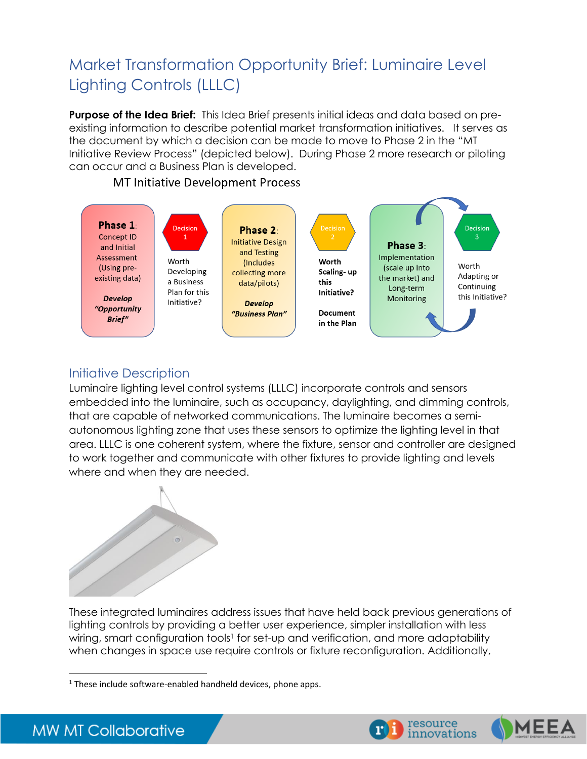# Market Transformation Opportunity Brief: Luminaire Level Lighting Controls (LLLC)

**Purpose of the Idea Brief:** This Idea Brief presents initial ideas and data based on preexisting information to describe potential market transformation initiatives. It serves as the document by which a decision can be made to move to Phase 2 in the "MT Initiative Review Process" (depicted below). During Phase 2 more research or piloting can occur and a Business Plan is developed.



#### **MT Initiative Development Process**

# Initiative Description

Luminaire lighting level control systems (LLLC) incorporate controls and sensors embedded into the luminaire, such as occupancy, daylighting, and dimming controls, that are capable of networked communications. The luminaire becomes a semiautonomous lighting zone that uses these sensors to optimize the lighting level in that area. LLLC is one coherent system, where the fixture, sensor and controller are designed to work together and communicate with other fixtures to provide lighting and levels where and when they are needed.



These integrated luminaires address issues that have held back previous generations of lighting controls by providing a better user experience, simpler installation with less wiring, smart configuration tools<sup>1</sup> for set-up and verification, and more adaptability when changes in space use require controls or fixture reconfiguration. Additionally,

 $\overline{\phantom{a}}$ 





<sup>&</sup>lt;sup>1</sup> These include software-enabled handheld devices, phone apps.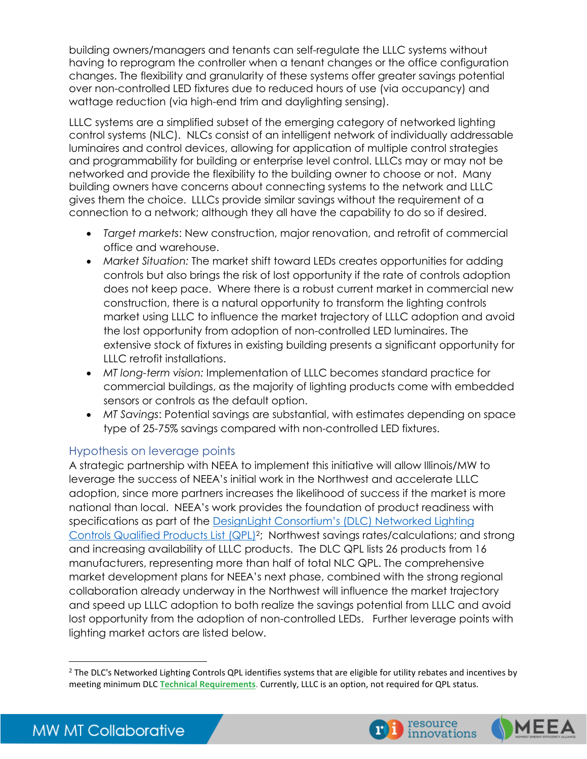building owners/managers and tenants can self-regulate the LLLC systems without having to reprogram the controller when a tenant changes or the office configuration changes. The flexibility and granularity of these systems offer greater savings potential over non-controlled LED fixtures due to reduced hours of use (via occupancy) and wattage reduction (via high-end trim and daylighting sensing).

LLLC systems are a simplified subset of the emerging category of networked lighting control systems (NLC). NLCs consist of an intelligent network of individually addressable luminaires and control devices, allowing for application of multiple control strategies and programmability for building or enterprise level control. LLLCs may or may not be networked and provide the flexibility to the building owner to choose or not. Many building owners have concerns about connecting systems to the network and LLLC gives them the choice. LLLCs provide similar savings without the requirement of a connection to a network; although they all have the capability to do so if desired.

- *Target markets*: New construction, major renovation, and retrofit of commercial office and warehouse.
- *Market Situation:* The market shift toward LEDs creates opportunities for adding controls but also brings the risk of lost opportunity if the rate of controls adoption does not keep pace. Where there is a robust current market in commercial new construction, there is a natural opportunity to transform the lighting controls market using LLLC to influence the market trajectory of LLLC adoption and avoid the lost opportunity from adoption of non-controlled LED luminaires. The extensive stock of fixtures in existing building presents a significant opportunity for LLLC retrofit installations.
- *MT long-term vision:* Implementation of LLLC becomes standard practice for commercial buildings, as the majority of lighting products come with embedded sensors or controls as the default option.
- *MT Savings*: Potential savings are substantial, with estimates depending on space type of 25-75% savings compared with non-controlled LED fixtures.

#### Hypothesis on leverage points

A strategic partnership with NEEA to implement this initiative will allow Illinois/MW to leverage the success of NEEA's initial work in the Northwest and accelerate LLLC adoption, since more partners increases the likelihood of success if the market is more national than local. NEEA's work provides the foundation of product readiness with specifications as part of the D[esignLight Consortium's \(D](https://www.designlights.org/lighting-controls/)LC) Networked Lighting [Controls Qualified Products List](https://www.designlights.org/lighting-controls/) (QPL)<sup>2</sup>; Northwest savings rates/calculations; and strong and increasing availability of LLLC products. The DLC QPL lists 26 products from 16 manufacturers, representing more than half of total NLC QPL. The comprehensive market development plans for NEEA's next phase, combined with the strong regional collaboration already underway in the Northwest will influence the market trajectory and speed up LLLC adoption to both realize the savings potential from LLLC and avoid lost opportunity from the adoption of non-controlled LEDs. Further leverage points with lighting market actors are listed below.





 $\overline{\phantom{a}}$  $<sup>2</sup>$  The DLC's Networked Lighting Controls QPL identifies systems that are eligible for utility rebates and incentives by</sup> meeting minimum DLC **Technical [Requirements](https://www.designlights.org/lighting-controls/qualify-a-system/technical-requirements/)**. Currently, LLLC is an option, not required for QPL status.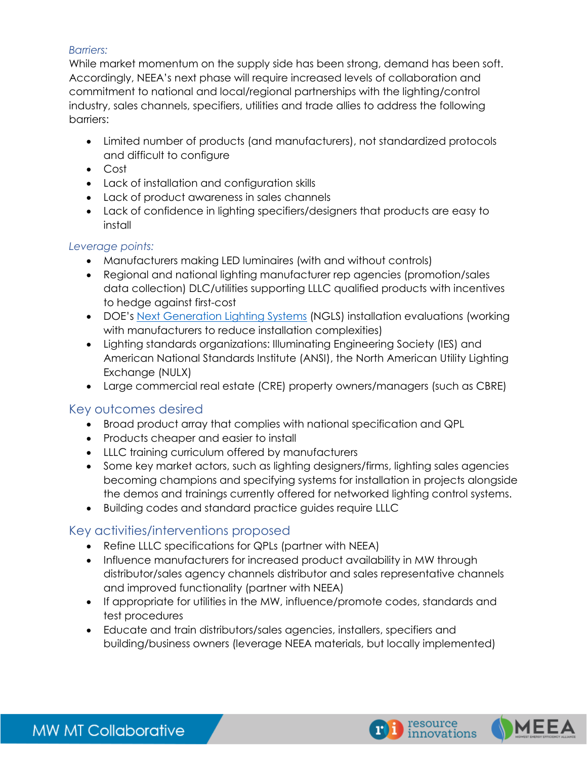#### *Barriers:*

While market momentum on the supply side has been strong, demand has been soft. Accordingly, NEEA's next phase will require increased levels of collaboration and commitment to national and local/regional partnerships with the lighting/control industry, sales channels, specifiers, utilities and trade allies to address the following barriers:

- Limited number of products (and manufacturers), not standardized protocols and difficult to configure
- Cost
- Lack of installation and configuration skills
- Lack of product awareness in sales channels
- Lack of confidence in lighting specifiers/designers that products are easy to install

#### *Leverage points:*

- Manufacturers making LED luminaires (with and without controls)
- Regional and national lighting manufacturer rep agencies (promotion/sales data collection) DLC/utilities supporting LLLC qualified products with incentives to hedge against first-cost
- DOE's [Next Generation Lighting Systems](https://www.energy.gov/eere/ssl/next-generation-lighting-systems) (NGLS) installation evaluations (working with manufacturers to reduce installation complexities)
- Lighting standards organizations: Illuminating Engineering Society (IES) and American National Standards Institute (ANSI), the North American Utility Lighting Exchange (NULX)
- Large commercial real estate (CRE) property owners/managers (such as CBRE)

#### Key outcomes desired

- Broad product array that complies with national specification and QPL
- Products cheaper and easier to install
- LLLC training curriculum offered by manufacturers
- Some key market actors, such as lighting designers/firms, lighting sales agencies becoming champions and specifying systems for installation in projects alongside the demos and trainings currently offered for networked lighting control systems.
- Building codes and standard practice guides require LLLC

# Key activities/interventions proposed

- Refine LLLC specifications for QPLs (partner with NEEA)
- Influence manufacturers for increased product availability in MW through distributor/sales agency channels distributor and sales representative channels and improved functionality (partner with NEEA)
- If appropriate for utilities in the MW, influence/promote codes, standards and test procedures
- Educate and train distributors/sales agencies, installers, specifiers and building/business owners (leverage NEEA materials, but locally implemented)



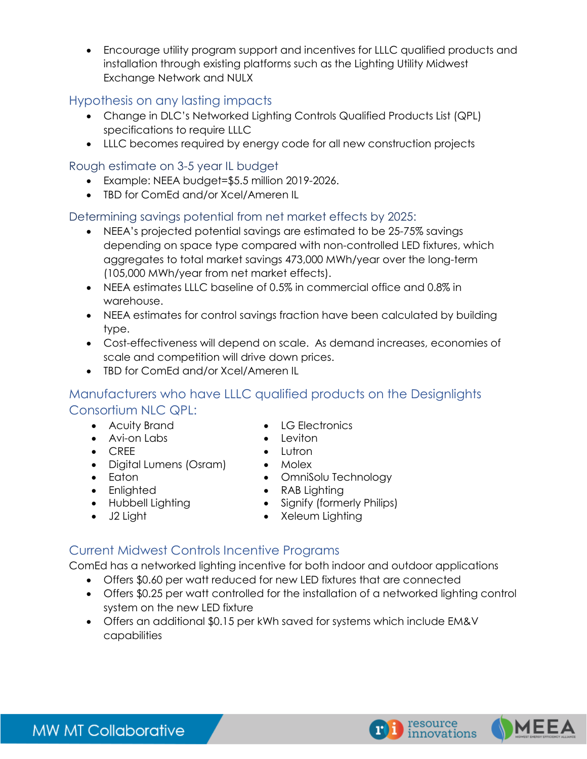• Encourage utility program support and incentives for LLLC qualified products and installation through existing platforms such as the Lighting Utility Midwest Exchange Network and NULX

### Hypothesis on any lasting impacts

- Change in DLC's Networked Lighting Controls Qualified Products List (QPL) specifications to require LLLC
- LLLC becomes required by energy code for all new construction projects

#### Rough estimate on 3-5 year IL budget

- Example: NEEA budget=\$5.5 million 2019-2026.
- TBD for ComEd and/or Xcel/Ameren IL

#### Determining savings potential from net market effects by 2025:

- NEEA's projected potential savings are estimated to be 25-75% savings depending on space type compared with non-controlled LED fixtures, which aggregates to total market savings 473,000 MWh/year over the long-term (105,000 MWh/year from net market effects).
- NEEA estimates LLLC baseline of 0.5% in commercial office and 0.8% in warehouse.
- NEEA estimates for control savings fraction have been calculated by building type.
- Cost-effectiveness will depend on scale. As demand increases, economies of scale and competition will drive down prices.
- TBD for ComEd and/or Xcel/Ameren IL

# Manufacturers who have LLLC qualified products on the Designlights Consortium NLC QPL:

- Acuity Brand LG Electronics
- Avi-on Labs Leviton
- CREE Lutron
- Digital Lumens (Osram) Molex
- Eaton OmniSolu Technology
- Enlighted RAB Lighting
- Hubbell Lighting Signify (formerly Philips)
- J2 Light Xeleum Lighting

#### Current Midwest Controls Incentive Programs

ComEd has a networked lighting incentive for both indoor and outdoor applications

- Offers \$0.60 per watt reduced for new LED fixtures that are connected
- Offers \$0.25 per watt controlled for the installation of a networked lighting control system on the new LED fixture
- Offers an additional \$0.15 per kWh saved for systems which include EM&V capabilities



**MW MT Collaborative**